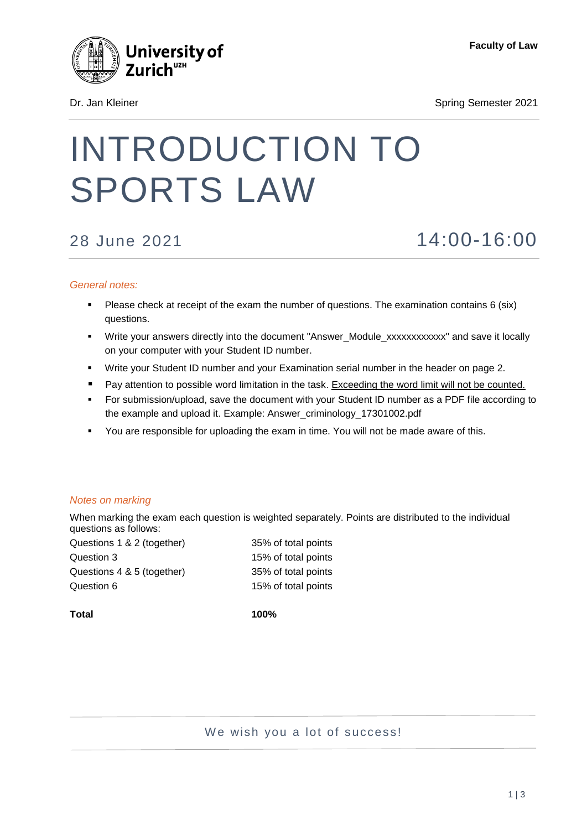

Dr. Jan Kleiner Spring Semester 2021

# INTRODUCTION TO SPORTS LAW

## 28 June 2021 14:00-16:00

#### *General notes:*

- Please check at receipt of the exam the number of questions. The examination contains 6 (six) questions.
- Write your answers directly into the document "Answer\_Module\_xxxxxxxxxxxx" and save it locally on your computer with your Student ID number.
- Write your Student ID number and your Examination serial number in the header on page 2.
- **Pay attention to possible word limitation in the task. Exceeding the word limit will not be counted.**
- For submission/upload, save the document with your Student ID number as a PDF file according to the example and upload it. Example: Answer\_criminology\_17301002.pdf
- You are responsible for uploading the exam in time. You will not be made aware of this.

#### *Notes on marking*

When marking the exam each question is weighted separately. Points are distributed to the individual questions as follows:

| Questions 1 & 2 (together) | 35% of total points |
|----------------------------|---------------------|
| Question 3                 | 15% of total points |
| Questions 4 & 5 (together) | 35% of total points |
| Question 6                 | 15% of total points |
|                            |                     |

**Total 100%**

We wish you a lot of success!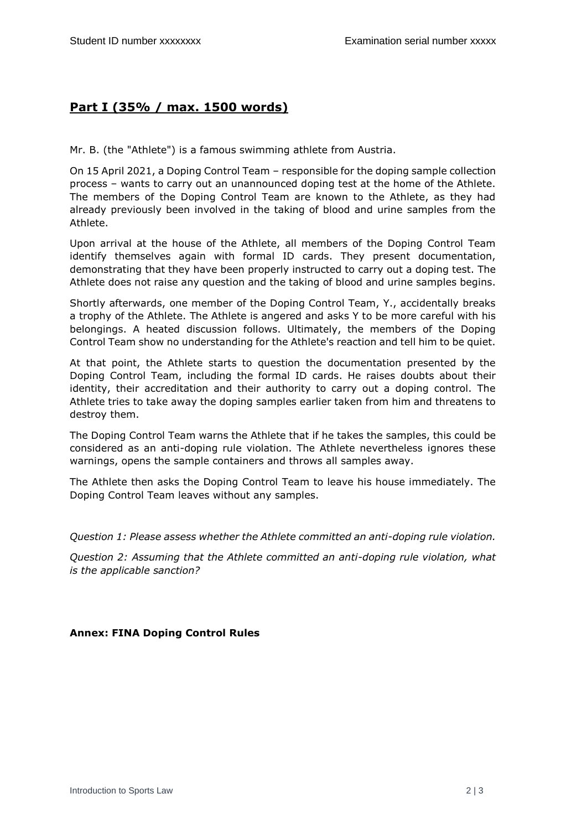### **Part I (35% / max. 1500 words)**

Mr. B. (the "Athlete") is a famous swimming athlete from Austria.

On 15 April 2021, a Doping Control Team – responsible for the doping sample collection process – wants to carry out an unannounced doping test at the home of the Athlete. The members of the Doping Control Team are known to the Athlete, as they had already previously been involved in the taking of blood and urine samples from the Athlete.

Upon arrival at the house of the Athlete, all members of the Doping Control Team identify themselves again with formal ID cards. They present documentation, demonstrating that they have been properly instructed to carry out a doping test. The Athlete does not raise any question and the taking of blood and urine samples begins.

Shortly afterwards, one member of the Doping Control Team, Y., accidentally breaks a trophy of the Athlete. The Athlete is angered and asks Y to be more careful with his belongings. A heated discussion follows. Ultimately, the members of the Doping Control Team show no understanding for the Athlete's reaction and tell him to be quiet.

At that point, the Athlete starts to question the documentation presented by the Doping Control Team, including the formal ID cards. He raises doubts about their identity, their accreditation and their authority to carry out a doping control. The Athlete tries to take away the doping samples earlier taken from him and threatens to destroy them.

The Doping Control Team warns the Athlete that if he takes the samples, this could be considered as an anti-doping rule violation. The Athlete nevertheless ignores these warnings, opens the sample containers and throws all samples away.

The Athlete then asks the Doping Control Team to leave his house immediately. The Doping Control Team leaves without any samples.

*Question 1: Please assess whether the Athlete committed an anti-doping rule violation.* 

*Question 2: Assuming that the Athlete committed an anti-doping rule violation, what is the applicable sanction?* 

#### **Annex: FINA Doping Control Rules**